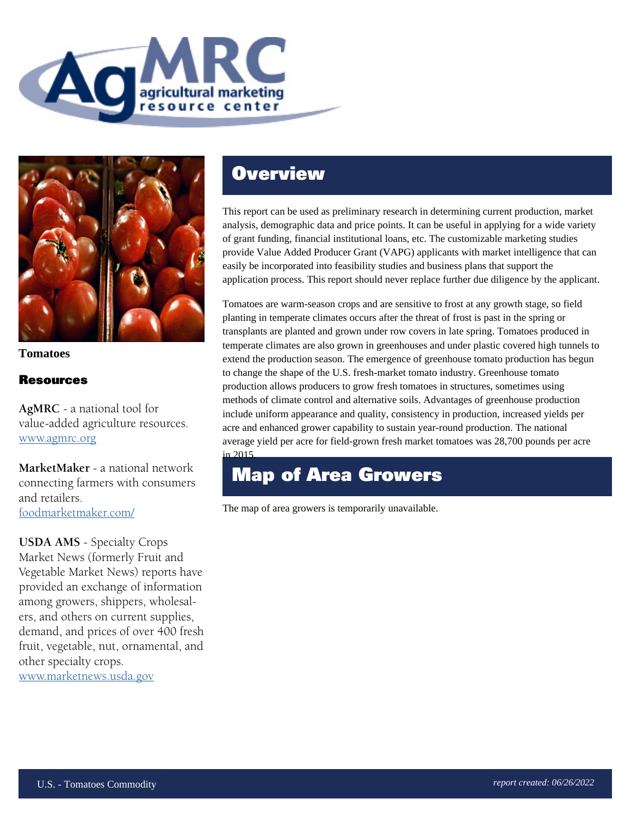



**Tomatoes**

### Resources

**AgMRC** - a national tool for value-added agriculture resources. www.agmrc.org

**MarketMaker** - a national network connecting farmers with consumers and retailers. foodmarketmaker.com/

**USDA AMS** - Specialty Crops Market News (formerly Fruit and Vegetable Market News) reports have provided an exchange of information among growers, shippers, wholesalers, and others on current supplies, demand, and prices of over 400 fresh fruit, vegetable, nut, ornamental, and other specialty crops. www.marketnews.usda.gov

## **Overview**

This report can be used as preliminary research in determining current production, market analysis, demographic data and price points. It can be useful in applying for a wide variety of grant funding, financial institutional loans, etc. The customizable marketing studies provide Value Added Producer Grant (VAPG) applicants with market intelligence that can easily be incorporated into feasibility studies and business plans that support the application process. This report should never replace further due diligence by the applicant.

Tomatoes are warm-season crops and are sensitive to frost at any growth stage, so field planting in temperate climates occurs after the threat of frost is past in the spring or transplants are planted and grown under row covers in late spring. Tomatoes produced in temperate climates are also grown in greenhouses and under plastic covered high tunnels to extend the production season. The emergence of greenhouse tomato production has begun to change the shape of the U.S. fresh-market tomato industry. Greenhouse tomato production allows producers to grow fresh tomatoes in structures, sometimes using methods of climate control and alternative soils. Advantages of greenhouse production include uniform appearance and quality, consistency in production, increased yields per acre and enhanced grower capability to sustain year-round production. The national average yield per acre for field-grown fresh market tomatoes was 28,700 pounds per acre in 2015.

### Map of Area Growers

The map of area growers is temporarily unavailable.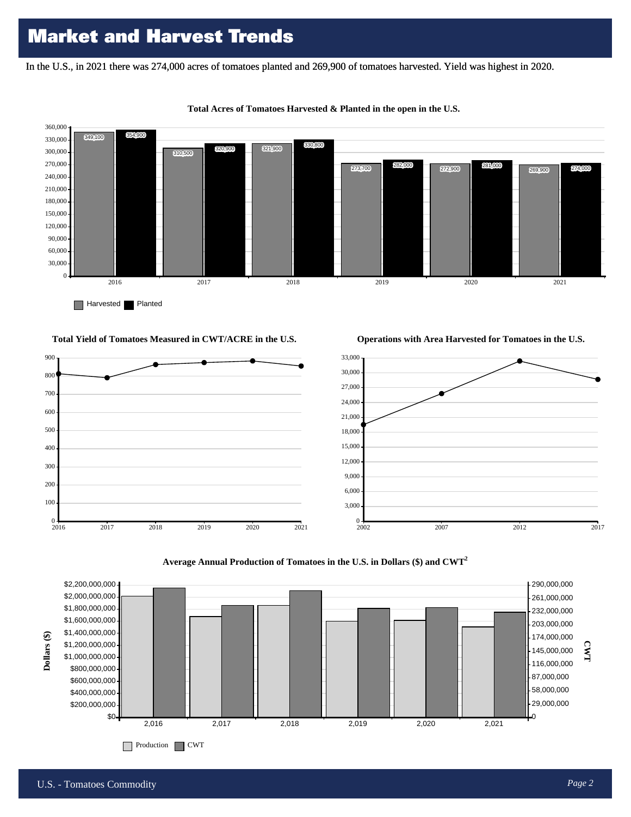In the U.S., in 2021 there was 274,000 acres of tomatoes planted and 269,900 of tomatoes harvested. Yield was highest in 2020.



#### **Total Acres of Tomatoes Harvested & Planted in the open in the U.S.**

**Total Yield of Tomatoes Measured in CWT/ACRE in the U.S.**

**Operations with Area Harvested for Tomatoes in the U.S.**







 $0 + 2016$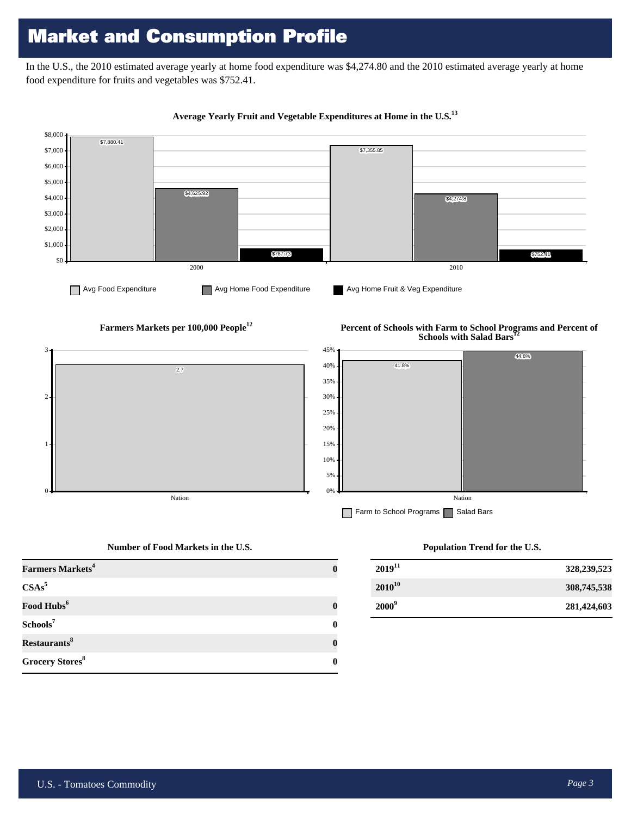# Market and Consumption Profile

In the U.S., the 2010 estimated average yearly at home food expenditure was \$4,274.80 and the 2010 estimated average yearly at home food expenditure for fruits and vegetables was \$752.41.



#### **Average Yearly Fruit and Vegetable Expenditures at Home in the U.S.<sup>13</sup>**

**Farmers Markets per 100,000 People<sup>12</sup>**

#### **Percent of Schools with Farm to School Programs and Percent of Schools with Salad Bars**



#### **Number of Food Markets in the U.S.**

| <b>Farmers Markets<sup>4</sup></b> |  |
|------------------------------------|--|
| $CSAs^5$                           |  |
| Food Hubs <sup>6</sup>             |  |
| Schools <sup>7</sup>               |  |
| Restaurants <sup>8</sup>           |  |
| Grocery Stores <sup>8</sup>        |  |

#### **Population Trend for the U.S.**

| $2019^{11}$ | 328,239,523 |
|-------------|-------------|
| $2010^{10}$ | 308,745,538 |
| $2000^9$    | 281,424,603 |